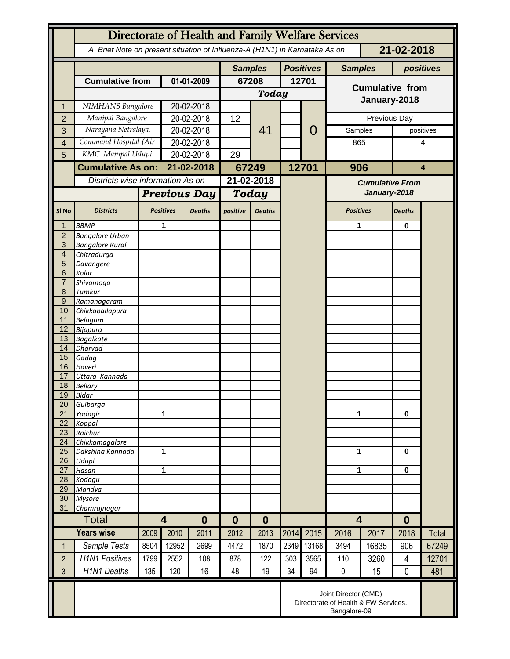|                     | Directorate of Health and Family Welfare Services                                        |                                                      |                                     |               |                     |               |       |                  |                                        |              |                |           |  |
|---------------------|------------------------------------------------------------------------------------------|------------------------------------------------------|-------------------------------------|---------------|---------------------|---------------|-------|------------------|----------------------------------------|--------------|----------------|-----------|--|
|                     | A Brief Note on present situation of Influenza-A (H1N1) in Karnataka As on<br>21-02-2018 |                                                      |                                     |               |                     |               |       |                  |                                        |              |                |           |  |
|                     |                                                                                          |                                                      |                                     |               | <b>Samples</b>      |               |       | <b>Positives</b> | <b>Samples</b>                         |              |                | positives |  |
|                     | <b>Cumulative from</b>                                                                   |                                                      | 01-01-2009                          |               | 67208               |               | 12701 |                  |                                        |              |                |           |  |
|                     |                                                                                          |                                                      |                                     |               |                     | <b>Today</b>  |       |                  | <b>Cumulative from</b>                 |              |                |           |  |
| 1                   | NIMHANS Bangalore                                                                        |                                                      | 20-02-2018                          |               |                     |               |       |                  | January-2018                           |              |                |           |  |
| $\overline{2}$      | Manipal Bangalore                                                                        |                                                      | 20-02-2018                          |               | 12                  | 41            |       |                  |                                        | Previous Day |                |           |  |
| 3                   | Narayana Netralaya,                                                                      |                                                      | 20-02-2018                          |               |                     |               |       | 0                | Samples                                |              | positives      |           |  |
| 4                   | Command Hospital (Air                                                                    |                                                      |                                     | 20-02-2018    |                     |               |       |                  | 865                                    |              | 4              |           |  |
| 5                   | KMC Manipal Udupi                                                                        |                                                      |                                     | 20-02-2018    |                     |               |       |                  |                                        |              |                |           |  |
|                     | <b>Cumulative As on:</b>                                                                 |                                                      |                                     | 21-02-2018    |                     |               |       | 12701            | 906                                    |              |                | 4         |  |
|                     | Districts wise information As on                                                         |                                                      |                                     |               | 67249<br>21-02-2018 |               |       |                  |                                        |              |                |           |  |
|                     |                                                                                          |                                                      |                                     |               |                     |               |       |                  | <b>Cumulative From</b><br>January-2018 |              |                |           |  |
|                     |                                                                                          |                                                      | <b>Previous Day</b>                 |               | Today               |               |       |                  |                                        |              |                |           |  |
| SI <sub>No</sub>    | <b>Districts</b>                                                                         |                                                      | <b>Positives</b>                    | <b>Deaths</b> | positive            | <b>Deaths</b> |       |                  | <b>Positives</b>                       |              | <b>Deaths</b>  |           |  |
| 1                   | <b>BBMP</b>                                                                              | 1                                                    |                                     |               |                     |               |       |                  | 1                                      |              | 0              |           |  |
| $\overline{2}$      | <b>Bangalore Urban</b>                                                                   |                                                      |                                     |               |                     |               |       |                  |                                        |              |                |           |  |
| 3<br>$\overline{4}$ | <b>Bangalore Rural</b>                                                                   |                                                      |                                     |               |                     |               |       |                  |                                        |              |                |           |  |
| 5                   | Chitradurga<br>Davangere                                                                 |                                                      |                                     |               |                     |               |       |                  |                                        |              |                |           |  |
| 6                   | Kolar                                                                                    |                                                      |                                     |               |                     |               |       |                  |                                        |              |                |           |  |
| $\overline{7}$      | Shivamoga                                                                                |                                                      |                                     |               |                     |               |       |                  |                                        |              |                |           |  |
| 8                   | Tumkur                                                                                   |                                                      |                                     |               |                     |               |       |                  |                                        |              |                |           |  |
| $\overline{9}$      | Ramanagaram                                                                              |                                                      |                                     |               |                     |               |       |                  |                                        |              |                |           |  |
| 10<br>11            | Chikkaballapura<br><b>Belagum</b>                                                        |                                                      |                                     |               |                     |               |       |                  |                                        |              |                |           |  |
| 12                  | <b>Bijapura</b>                                                                          |                                                      |                                     |               |                     |               |       |                  |                                        |              |                |           |  |
| 13                  | <b>Bagalkote</b>                                                                         |                                                      |                                     |               |                     |               |       |                  |                                        |              |                |           |  |
| 14                  | <b>Dharvad</b>                                                                           |                                                      |                                     |               |                     |               |       |                  |                                        |              |                |           |  |
| 15                  | Gadag                                                                                    |                                                      |                                     |               |                     |               |       |                  |                                        |              |                |           |  |
| 16<br>17            | Haveri<br>Uttara Kannada                                                                 |                                                      |                                     |               |                     |               |       |                  |                                        |              |                |           |  |
| 18                  | <b>Bellary</b>                                                                           |                                                      |                                     |               |                     |               |       |                  |                                        |              |                |           |  |
| 19                  | Bidar                                                                                    |                                                      |                                     |               |                     |               |       |                  |                                        |              |                |           |  |
| 20                  | Gulbarga                                                                                 |                                                      |                                     |               |                     |               |       |                  |                                        |              |                |           |  |
| $\overline{21}$     | Yadagir                                                                                  |                                                      | 1                                   |               |                     |               |       |                  | 1                                      |              | $\bf{0}$       |           |  |
| 22<br>23            | Koppal<br>Raichur                                                                        |                                                      |                                     |               |                     |               |       |                  |                                        |              |                |           |  |
| 24                  | Chikkamagalore                                                                           |                                                      |                                     |               |                     |               |       |                  |                                        |              |                |           |  |
| 25                  | Dakshina Kannada                                                                         | 1                                                    |                                     |               |                     |               |       |                  | 1                                      |              | 0              |           |  |
| 26                  | Udupi                                                                                    |                                                      |                                     |               |                     |               |       |                  |                                        |              |                |           |  |
| $\overline{27}$     | Hasan                                                                                    | 1                                                    |                                     |               |                     |               |       |                  | 1                                      |              | $\bf{0}$       |           |  |
| 28                  | Kodagu                                                                                   |                                                      |                                     |               |                     |               |       |                  |                                        |              |                |           |  |
| 29<br>30            | Mandya<br><b>Mysore</b>                                                                  |                                                      |                                     |               |                     |               |       |                  |                                        |              |                |           |  |
| 31                  | Chamrajnagar                                                                             |                                                      |                                     |               |                     |               |       |                  |                                        |              |                |           |  |
|                     | <b>Total</b>                                                                             |                                                      | $\overline{\mathbf{4}}$<br>$\bf{0}$ |               | $\bf{0}$            | $\bf{0}$      |       |                  | $\overline{\mathbf{4}}$                |              | $\bf{0}$       |           |  |
|                     | <b>Years wise</b>                                                                        | 2009                                                 | 2010                                | 2011          | 2012                | 2013          | 2014  | 2015             | 2016                                   | 2017         | 2018           | Total     |  |
| $\mathbf{1}$        | Sample Tests                                                                             | 8504                                                 | 12952                               | 2699          | 4472                | 1870          | 2349  | 13168            | 3494                                   | 16835        | 906            | 67249     |  |
| $\overline{2}$      | <b>H1N1 Positives</b>                                                                    | 1799                                                 | 2552                                | 108           | 878                 | 122           | 303   | 3565             | 110                                    | 3260         | $\overline{4}$ | 12701     |  |
| $\overline{3}$      | <b>H1N1 Deaths</b>                                                                       | 135                                                  | 120                                 | 16            | 48                  | 19            | 34    | 94               | $\pmb{0}$                              | 15           | $\mathbf 0$    | 481       |  |
|                     | Joint Director (CMD)                                                                     |                                                      |                                     |               |                     |               |       |                  |                                        |              |                |           |  |
|                     |                                                                                          | Directorate of Health & FW Services.<br>Bangalore-09 |                                     |               |                     |               |       |                  |                                        |              |                |           |  |